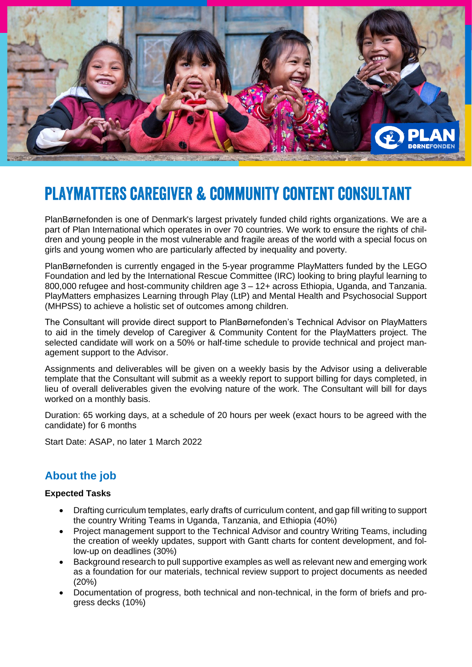

# **PLAYMATTERS CAREGIVER & COMMUNITY CONTENT CONSULTANT**

PlanBørnefonden is one of Denmark's largest privately funded child rights organizations. We are a part of Plan International which operates in over 70 countries. We work to ensure the rights of children and young people in the most vulnerable and fragile areas of the world with a special focus on girls and young women who are particularly affected by inequality and poverty.

PlanBørnefonden is currently engaged in the 5-year programme PlayMatters funded by the LEGO Foundation and led by the International Rescue Committee (IRC) looking to bring playful learning to 800,000 refugee and host-community children age 3 – 12+ across Ethiopia, Uganda, and Tanzania. PlayMatters emphasizes Learning through Play (LtP) and Mental Health and Psychosocial Support (MHPSS) to achieve a holistic set of outcomes among children.

The Consultant will provide direct support to PlanBørnefonden's Technical Advisor on PlayMatters to aid in the timely develop of Caregiver & Community Content for the PlayMatters project. The selected candidate will work on a 50% or half-time schedule to provide technical and project management support to the Advisor.

Assignments and deliverables will be given on a weekly basis by the Advisor using a deliverable template that the Consultant will submit as a weekly report to support billing for days completed, in lieu of overall deliverables given the evolving nature of the work. The Consultant will bill for days worked on a monthly basis.

Duration: 65 working days, at a schedule of 20 hours per week (exact hours to be agreed with the candidate) for 6 months

Start Date: ASAP, no later 1 March 2022

## **About the job**

### **Expected Tasks**

- Drafting curriculum templates, early drafts of curriculum content, and gap fill writing to support the country Writing Teams in Uganda, Tanzania, and Ethiopia (40%)
- Project management support to the Technical Advisor and country Writing Teams, including the creation of weekly updates, support with Gantt charts for content development, and follow-up on deadlines (30%)
- Background research to pull supportive examples as well as relevant new and emerging work as a foundation for our materials, technical review support to project documents as needed (20%)
- Documentation of progress, both technical and non-technical, in the form of briefs and progress decks (10%)